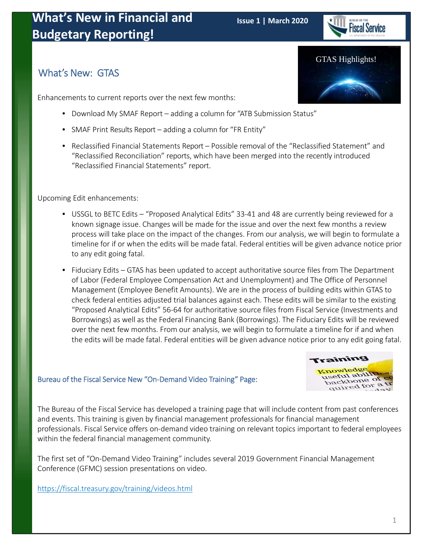

### What's New: GTAS

Enhancements to current reports over the next few months:

- Download My SMAF Report adding a column for "ATB Submission Status"
- SMAF Print Results Report adding a column for "FR Entity"
- Reclassified Financial Statements Report Possible removal of the "Reclassified Statement" and "Reclassified Reconciliation" reports, which have been merged into the recently introduced "Reclassified Financial Statements" report.

Upcoming Edit enhancements:

- USSGL to BETC Edits "Proposed Analytical Edits" 33-41 and 48 are currently being reviewed for a known signage issue. Changes will be made for the issue and over the next few months a review process will take place on the impact of the changes. From our analysis, we will begin to formulate a timeline for if or when the edits will be made fatal. Federal entities will be given advance notice prior to any edit going fatal.
- Fiduciary Edits GTAS has been updated to accept authoritative source files from The Department of Labor (Federal Employee Compensation Act and Unemployment) and The Office of Personnel Management (Employee Benefit Amounts). We are in the process of building edits within GTAS to check federal entities adjusted trial balances against each. These edits will be similar to the existing "Proposed Analytical Edits" 56‐64 for authoritative source files from Fiscal Service (Investments and Borrowings) as well as the Federal Financing Bank (Borrowings). The Fiduciary Edits will be reviewed over the next few months. From our analysis, we will begin to formulate a timeline for if and when the edits will be made fatal. Federal entities will be given advance notice prior to any edit going fatal.

#### Bureau of the Fiscal Service New "On‐Demand Video Training" Page:



The Bureau of the Fiscal Service has developed a training page that will include content from past conferences and events. This training is given by financial management professionals for financial management professionals. Fiscal Service offers on‐demand video training on relevant topics important to federal employees within the federal financial management community.

The first set of "On‐Demand Video Training" includes several 2019 Government Financial Management Conference (GFMC) session presentations on video.

<https://fiscal.treasury.gov/training/videos.html>

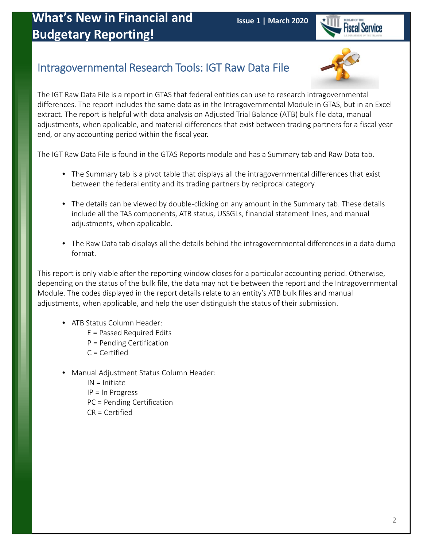

## Intragovernmental Research Tools: IGT Raw Data File



The IGT Raw Data File is a report in GTAS that federal entities can use to research intragovernmental differences. The report includes the same data as in the Intragovernmental Module in GTAS, but in an Excel extract. The report is helpful with data analysis on Adjusted Trial Balance (ATB) bulk file data, manual adjustments, when applicable, and material differences that exist between trading partners for a fiscal year end, or any accounting period within the fiscal year.

The IGT Raw Data File is found in the GTAS Reports module and has a Summary tab and Raw Data tab.

- The Summary tab is a pivot table that displays all the intragovernmental differences that exist between the federal entity and its trading partners by reciprocal category.
- The details can be viewed by double-clicking on any amount in the Summary tab. These details include all the TAS components, ATB status, USSGLs, financial statement lines, and manual adjustments, when applicable.
- The Raw Data tab displays all the details behind the intragovernmental differences in a data dump format.

This report is only viable after the reporting window closes for a particular accounting period. Otherwise, depending on the status of the bulk file, the data may not tie between the report and the Intragovernmental Module. The codes displayed in the report details relate to an entity's ATB bulk files and manual adjustments, when applicable, and help the user distinguish the status of their submission.

- ATB Status Column Header:
	- E = Passed Required Edits
	- P = Pending Certification
	- C = Certified
- Manual Adjustment Status Column Header:
	- IN = Initiate IP = In Progress PC = Pending Certification CR = Certified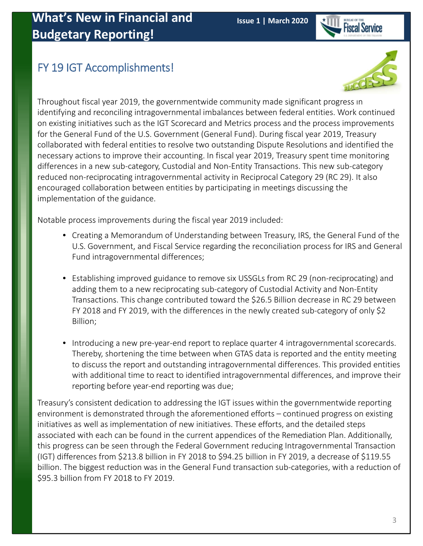

## FY 19 IGT Accomplishments!



Throughout fiscal year 2019, the governmentwide community made significant progress in identifying and reconciling intragovernmental imbalances between federal entities. Work continued on existing initiatives such as the IGT Scorecard and Metrics process and the process improvements for the General Fund of the U.S. Government (General Fund). During fiscal year 2019, Treasury collaborated with federal entities to resolve two outstanding Dispute Resolutions and identified the necessary actions to improve their accounting. In fiscal year 2019, Treasury spent time monitoring differences in a new sub‐category, Custodial and Non‐Entity Transactions. This new sub‐category reduced non‐reciprocating intragovernmental activity in Reciprocal Category 29 (RC 29). It also encouraged collaboration between entities by participating in meetings discussing the implementation of the guidance.

Notable process improvements during the fiscal year 2019 included:

- Creating a Memorandum of Understanding between Treasury, IRS, the General Fund of the U.S. Government, and Fiscal Service regarding the reconciliation process for IRS and General Fund intragovernmental differences;
- Establishing improved guidance to remove six USSGLs from RC 29 (non‐reciprocating) and adding them to a new reciprocating sub‐category of Custodial Activity and Non‐Entity Transactions. This change contributed toward the \$26.5 Billion decrease in RC 29 between FY 2018 and FY 2019, with the differences in the newly created sub-category of only \$2 Billion;
- Introducing a new pre‐year‐end report to replace quarter 4 intragovernmental scorecards. Thereby, shortening the time between when GTAS data is reported and the entity meeting to discuss the report and outstanding intragovernmental differences. This provided entities with additional time to react to identified intragovernmental differences, and improve their reporting before year‐end reporting was due;

Treasury's consistent dedication to addressing the IGT issues within the governmentwide reporting environment is demonstrated through the aforementioned efforts – continued progress on existing initiatives as well as implementation of new initiatives. These efforts, and the detailed steps associated with each can be found in the current appendices of the Remediation Plan. Additionally, this progress can be seen through the Federal Government reducing Intragovernmental Transaction (IGT) differences from \$213.8 billion in FY 2018 to \$94.25 billion in FY 2019, a decrease of \$119.55 billion. The biggest reduction was in the General Fund transaction sub-categories, with a reduction of \$95.3 billion from FY 2018 to FY 2019.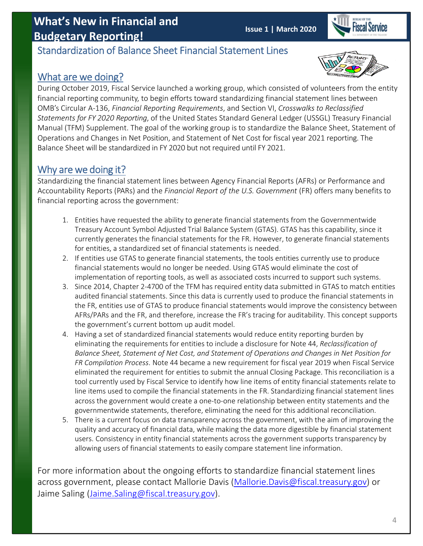## **What's New in Financial and Budgetary Reporting! Issue 1 | March 2020**



### Standardization of Balance Sheet Financial Statement Lines

### What are we doing?



During October 2019, Fiscal Service launched a working group, which consisted of volunteers from the entity financial reporting community, to begin efforts toward standardizing financial statement lines between OMB's Circular A‐136, *Financial Reporting Requirements*, and Section VI, *Crosswalks to Reclassified Statements for FY 2020 Reporting*, of the United States Standard General Ledger (USSGL) Treasury Financial Manual (TFM) Supplement. The goal of the working group is to standardize the Balance Sheet, Statement of Operations and Changes in Net Position, and Statement of Net Cost for fiscal year 2021 reporting. The Balance Sheet will be standardized in FY 2020 but not required until FY 2021.

### Why are we doing it?

Standardizing the financial statement lines between Agency Financial Reports (AFRs) or Performance and Accountability Reports (PARs) and the *Financial Report of the U.S. Government* (FR) offers many benefits to financial reporting across the government:

- 1. Entities have requested the ability to generate financial statements from the Governmentwide Treasury Account Symbol Adjusted Trial Balance System (GTAS). GTAS has this capability, since it currently generates the financial statements for the FR. However, to generate financial statements for entities, a standardized set of financial statements is needed.
- 2. If entities use GTAS to generate financial statements, the tools entities currently use to produce financial statements would no longer be needed. Using GTAS would eliminate the cost of implementation of reporting tools, as well as associated costs incurred to support such systems.
- 3. Since 2014, Chapter 2‐4700 of the TFM has required entity data submitted in GTAS to match entities audited financial statements. Since this data is currently used to produce the financial statements in the FR, entities use of GTAS to produce financial statements would improve the consistency between AFRs/PARs and the FR, and therefore, increase the FR's tracing for auditability. This concept supports the government's current bottom up audit model.
- 4. Having a set of standardized financial statements would reduce entity reporting burden by eliminating the requirements for entities to include a disclosure for Note 44, *Reclassification of Balance Sheet, Statement of Net Cost, and Statement of Operations and Changes in Net Position for FR Compilation Process*. Note 44 became a new requirement for fiscal year 2019 when Fiscal Service eliminated the requirement for entities to submit the annual Closing Package. This reconciliation is a tool currently used by Fiscal Service to identify how line items of entity financial statements relate to line items used to compile the financial statements in the FR. Standardizing financial statement lines across the government would create a one-to-one relationship between entity statements and the governmentwide statements, therefore, eliminating the need for this additional reconciliation.
- 5. There is a current focus on data transparency across the government, with the aim of improving the quality and accuracy of financial data, while making the data more digestible by financial statement users. Consistency in entity financial statements across the government supports transparency by allowing users of financial statements to easily compare statement line information.

For more information about the ongoing efforts to standardize financial statement lines across government, please contact Mallorie Davis (Mallorie.Davis@fiscal.treasury.gov) or Jaime Saling (Jaime.Saling@fiscal.treasury.gov).